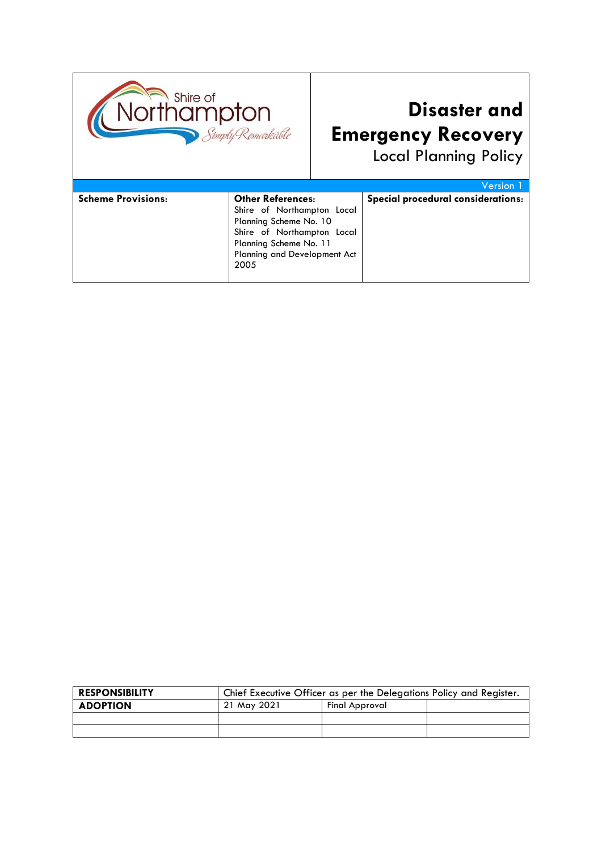

# **Disaster and Emergency Recovery**

Local Planning Policy

|                           |                              | <b>Version</b> 1                   |
|---------------------------|------------------------------|------------------------------------|
| <b>Scheme Provisions:</b> | <b>Other References:</b>     | Special procedural considerations: |
|                           | Shire of Northampton Local   |                                    |
|                           | Planning Scheme No. 10       |                                    |
|                           | Shire of Northampton Local   |                                    |
|                           | Planning Scheme No. 11       |                                    |
|                           | Planning and Development Act |                                    |
|                           | 2005                         |                                    |
|                           |                              |                                    |

| <b>RESPONSIBILITY</b> | Chief Executive Officer as per the Delegations Policy and Register. |                |  |
|-----------------------|---------------------------------------------------------------------|----------------|--|
| <b>ADOPTION</b>       | 21 May 2021                                                         | Final Approval |  |
|                       |                                                                     |                |  |
|                       |                                                                     |                |  |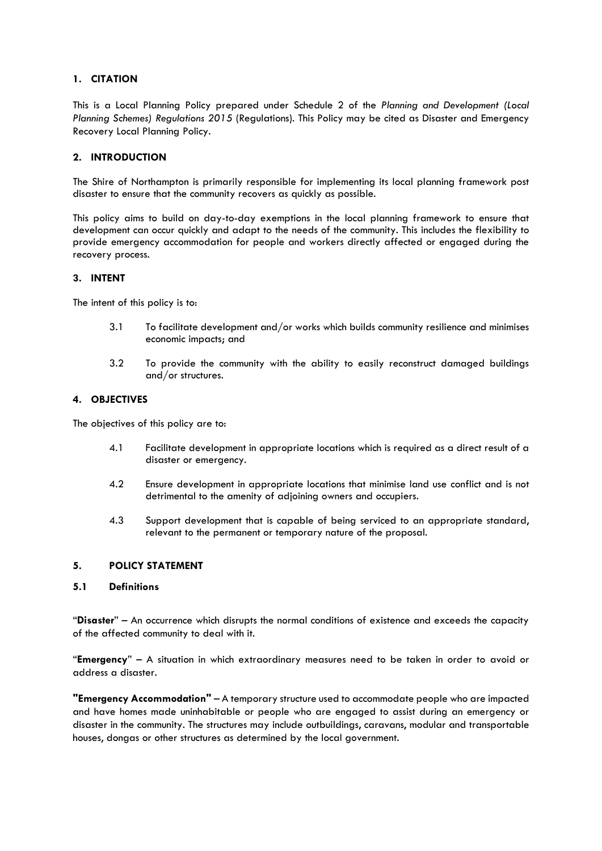# **1. CITATION**

This is a Local Planning Policy prepared under Schedule 2 of the *Planning and Development (Local Planning Schemes) Regulations 2015* (Regulations). This Policy may be cited as Disaster and Emergency Recovery Local Planning Policy.

#### **2. INTRODUCTION**

The Shire of Northampton is primarily responsible for implementing its local planning framework post disaster to ensure that the community recovers as quickly as possible.

This policy aims to build on day-to-day exemptions in the local planning framework to ensure that development can occur quickly and adapt to the needs of the community. This includes the flexibility to provide emergency accommodation for people and workers directly affected or engaged during the recovery process.

#### **3. INTENT**

The intent of this policy is to:

- 3.1 To facilitate development and/or works which builds community resilience and minimises economic impacts; and
- 3.2 To provide the community with the ability to easily reconstruct damaged buildings and/or structures.

#### **4. OBJECTIVES**

The objectives of this policy are to:

- 4.1 Facilitate development in appropriate locations which is required as a direct result of a disaster or emergency.
- 4.2 Ensure development in appropriate locations that minimise land use conflict and is not detrimental to the amenity of adjoining owners and occupiers.
- 4.3 Support development that is capable of being serviced to an appropriate standard, relevant to the permanent or temporary nature of the proposal.

#### **5. POLICY STATEMENT**

#### **5.1 Definitions**

"**Disaster**" – An occurrence which disrupts the normal conditions of existence and exceeds the capacity of the affected community to deal with it.

"**Emergency**" – A situation in which extraordinary measures need to be taken in order to avoid or address a disaster.

**"Emergency Accommodation"** – A temporary structure used to accommodate people who are impacted and have homes made uninhabitable or people who are engaged to assist during an emergency or disaster in the community. The structures may include outbuildings, caravans, modular and transportable houses, dongas or other structures as determined by the local government.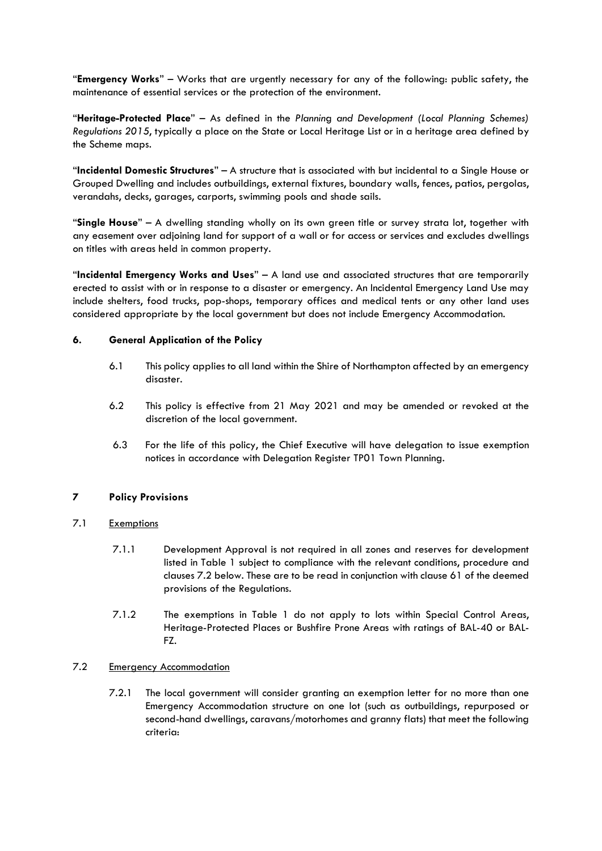"**Emergency Works**" – Works that are urgently necessary for any of the following: public safety, the maintenance of essential services or the protection of the environment.

"**Heritage-Protected Place**" – As defined in the *Plannin*g *and Development (Local Planning Schemes) Regulations 2015*, typically a place on the State or Local Heritage List or in a heritage area defined by the Scheme maps.

"**Incidental Domestic Structures**" – A structure that is associated with but incidental to a Single House or Grouped Dwelling and includes outbuildings, external fixtures, boundary walls, fences, patios, pergolas, verandahs, decks, garages, carports, swimming pools and shade sails.

"**Single House**" – A dwelling standing wholly on its own green title or survey strata lot, together with any easement over adjoining land for support of a wall or for access or services and excludes dwellings on titles with areas held in common property.

"**Incidental Emergency Works and Uses**" – A land use and associated structures that are temporarily erected to assist with or in response to a disaster or emergency. An Incidental Emergency Land Use may include shelters, food trucks, pop-shops, temporary offices and medical tents or any other land uses considered appropriate by the local government but does not include Emergency Accommodation.

# **6. General Application of the Policy**

- 6.1 This policy applies to all land within the Shire of Northampton affected by an emergency disaster.
- 6.2 This policy is effective from 21 May 2021 and may be amended or revoked at the discretion of the local government.
- 6.3 For the life of this policy, the Chief Executive will have delegation to issue exemption notices in accordance with Delegation Register TP01 Town Planning.

# **7 Policy Provisions**

# 7.1 Exemptions

- 7.1.1 Development Approval is not required in all zones and reserves for development listed in Table 1 subject to compliance with the relevant conditions, procedure and clauses 7.2 below. These are to be read in conjunction with clause 61 of the deemed provisions of the Regulations.
- 7.1.2 The exemptions in Table 1 do not apply to lots within Special Control Areas, Heritage-Protected Places or Bushfire Prone Areas with ratings of BAL-40 or BAL-FZ.

# 7.2 Emergency Accommodation

7.2.1 The local government will consider granting an exemption letter for no more than one Emergency Accommodation structure on one lot (such as outbuildings, repurposed or second-hand dwellings, caravans/motorhomes and granny flats) that meet the following criteria: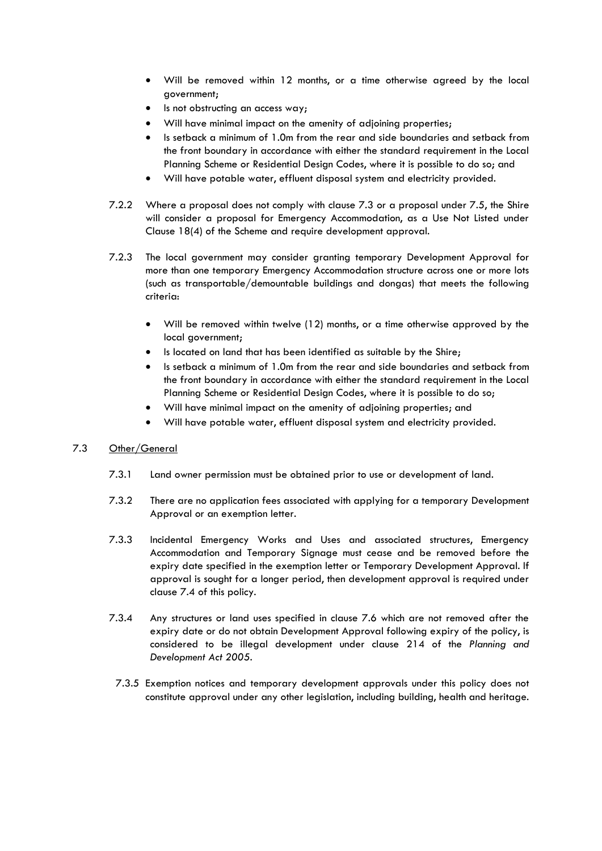- Will be removed within 12 months, or a time otherwise agreed by the local government;
- Is not obstructing an access way:
- Will have minimal impact on the amenity of adjoining properties;
- Is setback a minimum of 1.0m from the rear and side boundaries and setback from the front boundary in accordance with either the standard requirement in the Local Planning Scheme or Residential Design Codes, where it is possible to do so; and
- Will have potable water, effluent disposal system and electricity provided.
- 7.2.2 Where a proposal does not comply with clause 7.3 or a proposal under 7.5, the Shire will consider a proposal for Emergency Accommodation, as a Use Not Listed under Clause 18(4) of the Scheme and require development approval.
- 7.2.3 The local government may consider granting temporary Development Approval for more than one temporary Emergency Accommodation structure across one or more lots (such as transportable/demountable buildings and dongas) that meets the following criteria:
	- Will be removed within twelve (12) months, or a time otherwise approved by the local government;
	- Is located on land that has been identified as suitable by the Shire;
	- Is setback a minimum of 1.0m from the rear and side boundaries and setback from the front boundary in accordance with either the standard requirement in the Local Planning Scheme or Residential Design Codes, where it is possible to do so;
	- Will have minimal impact on the amenity of adjoining properties; and
	- Will have potable water, effluent disposal system and electricity provided.

# 7.3 Other/General

- 7.3.1 Land owner permission must be obtained prior to use or development of land.
- 7.3.2 There are no application fees associated with applying for a temporary Development Approval or an exemption letter.
- 7.3.3 Incidental Emergency Works and Uses and associated structures, Emergency Accommodation and Temporary Signage must cease and be removed before the expiry date specified in the exemption letter or Temporary Development Approval. If approval is sought for a longer period, then development approval is required under clause 7.4 of this policy.
- 7.3.4 Any structures or land uses specified in clause 7.6 which are not removed after the expiry date or do not obtain Development Approval following expiry of the policy, is considered to be illegal development under clause 214 of the *Planning and Development Act 2005*.
- 7.3.5 Exemption notices and temporary development approvals under this policy does not constitute approval under any other legislation, including building, health and heritage.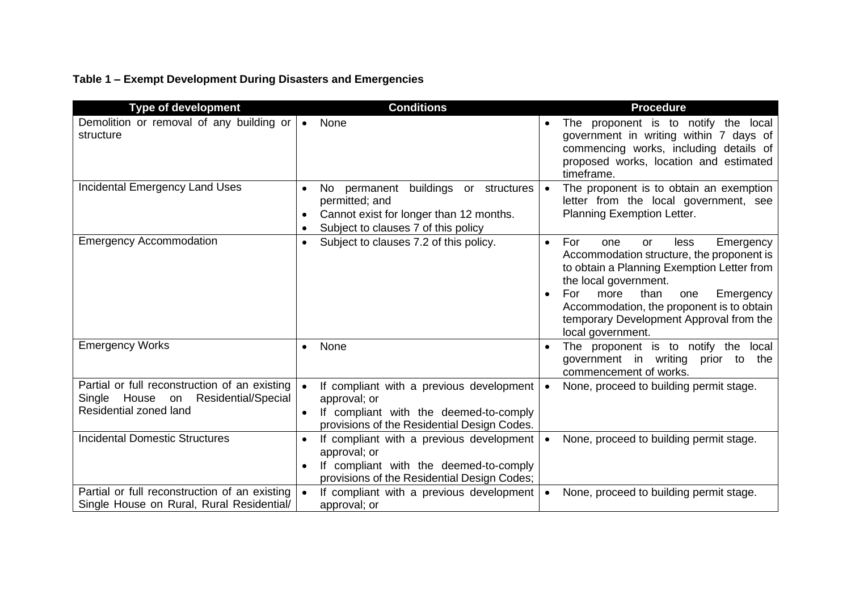# **Table 1 – Exempt Development During Disasters and Emergencies**

| <b>Type of development</b>                                                                                              | <b>Conditions</b>                                                                                                                                                              | <b>Procedure</b>                                                                                                                                                                                                                                                                                                                            |
|-------------------------------------------------------------------------------------------------------------------------|--------------------------------------------------------------------------------------------------------------------------------------------------------------------------------|---------------------------------------------------------------------------------------------------------------------------------------------------------------------------------------------------------------------------------------------------------------------------------------------------------------------------------------------|
| Demolition or removal of any building or<br>structure                                                                   | None<br>$\bullet$                                                                                                                                                              | The proponent is to notify the local<br>$\bullet$<br>government in writing within 7 days of<br>commencing works, including details of<br>proposed works, location and estimated<br>timeframe.                                                                                                                                               |
| <b>Incidental Emergency Land Uses</b>                                                                                   | buildings or structures<br>permanent<br>No.<br>$\bullet$<br>permitted; and<br>Cannot exist for longer than 12 months.<br>٠<br>Subject to clauses 7 of this policy<br>$\bullet$ | The proponent is to obtain an exemption<br>$\bullet$<br>letter from the local government, see<br>Planning Exemption Letter.                                                                                                                                                                                                                 |
| <b>Emergency Accommodation</b>                                                                                          | Subject to clauses 7.2 of this policy.<br>$\bullet$                                                                                                                            | For<br>Emergency<br>less<br>one<br>or<br>$\bullet$<br>Accommodation structure, the proponent is<br>to obtain a Planning Exemption Letter from<br>the local government.<br>than<br>more<br>For<br>Emergency<br>one<br>$\bullet$<br>Accommodation, the proponent is to obtain<br>temporary Development Approval from the<br>local government. |
| <b>Emergency Works</b>                                                                                                  | None<br>$\bullet$                                                                                                                                                              | The proponent is to notify the local<br>$\bullet$<br>government in writing prior to the<br>commencement of works.                                                                                                                                                                                                                           |
| Partial or full reconstruction of an existing<br>House<br>Residential/Special<br>Single<br>on<br>Residential zoned land | If compliant with a previous development<br>$\bullet$<br>approval; or<br>If compliant with the deemed-to-comply<br>$\bullet$<br>provisions of the Residential Design Codes.    | None, proceed to building permit stage.<br>$\bullet$                                                                                                                                                                                                                                                                                        |
| <b>Incidental Domestic Structures</b>                                                                                   | If compliant with a previous development<br>$\bullet$<br>approval; or<br>If compliant with the deemed-to-comply<br>$\bullet$<br>provisions of the Residential Design Codes;    | None, proceed to building permit stage.<br>$\bullet$                                                                                                                                                                                                                                                                                        |
| Partial or full reconstruction of an existing<br>Single House on Rural, Rural Residential/                              | If compliant with a previous development<br>approval; or                                                                                                                       | None, proceed to building permit stage.<br>$\bullet$                                                                                                                                                                                                                                                                                        |